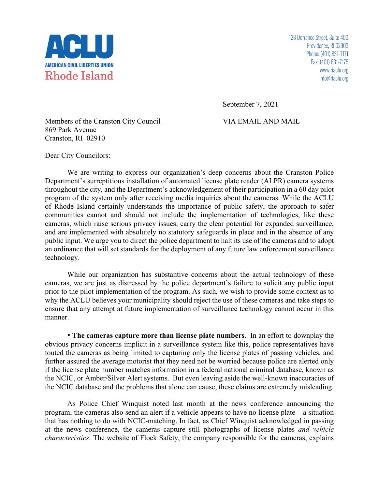

128 Dorrance Street, Suite 400 Providence, RI 02903 Phone: (401) 831-7171 Fax: (401) 831-7175 www.riaclu.org info@riaclu.org

September 7, 2021

Members of the Cranston City Council VIA EMAIL AND MAIL 869 Park Avenue Cranston, RI 02910

Dear City Councilors:

We are writing to express our organization's deep concerns about the Cranston Police Department's surreptitious installation of automated license plate reader (ALPR) camera systems throughout the city, and the Department's acknowledgement of their participation in a 60 day pilot program of the system only after receiving media inquiries about the cameras. While the ACLU of Rhode Island certainly understands the importance of public safety, the approach to safer communities cannot and should not include the implementation of technologies, like these cameras, which raise serious privacy issues, carry the clear potential for expanded surveillance, and are implemented with absolutely no statutory safeguards in place and in the absence of any public input. We urge you to direct the police department to halt its use of the cameras and to adopt an ordinance that will set standards for the deployment of any future law enforcement surveillance technology.

While our organization has substantive concerns about the actual technology of these cameras, we are just as distressed by the police department's failure to solicit any public input prior to the pilot implementation of the program. As such, we wish to provide some context as to why the ACLU believes your municipality should reject the use of these cameras and take steps to ensure that any attempt at future implementation of surveillance technology cannot occur in this manner.

• **The cameras capture more than license plate numbers**. In an effort to downplay the obvious privacy concerns implicit in a surveillance system like this, police representatives have touted the cameras as being limited to capturing only the license plates of passing vehicles, and further assured the average motorist that they need not be worried because police are alerted only if the license plate number matches information in a federal national criminal database, known as the NCIC, or Amber/Silver Alert systems. But even leaving aside the well-known inaccuracies of the NCIC database and the problems that alone can cause, these claims are extremely misleading.

As Police Chief Winquist noted last month at the news conference announcing the program, the cameras also send an alert if a vehicle appears to have no license plate – a situation that has nothing to do with NCIC-matching. In fact, as Chief Winquist acknowledged in passing at the news conference, the cameras capture still photographs of license plates *and vehicle characteristics*. The website of Flock Safety, the company responsible for the cameras, explains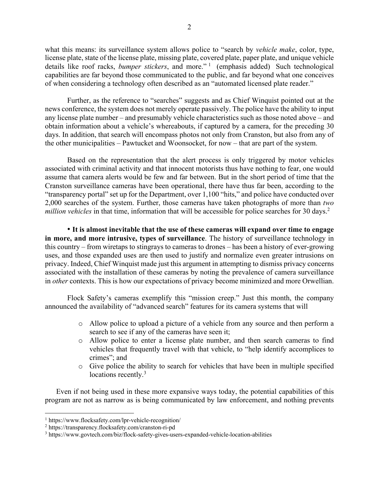what this means: its surveillance system allows police to "search by *vehicle make*, color, type, license plate, state of the license plate, missing plate, covered plate, paper plate, and unique vehicle details like roof racks, *bumper stickers*, and more."<sup>1</sup> (emphasis added) Such technological capabilities are far beyond those communicated to the public, and far beyond what one conceives of when considering a technology often described as an "automated licensed plate reader."

Further, as the reference to "searches" suggests and as Chief Winquist pointed out at the news conference, the system does not merely operate passively. The police have the ability to input any license plate number – and presumably vehicle characteristics such as those noted above – and obtain information about a vehicle's whereabouts, if captured by a camera, for the preceding 30 days. In addition, that search will encompass photos not only from Cranston, but also from any of the other municipalities – Pawtucket and Woonsocket, for now – that are part of the system.

Based on the representation that the alert process is only triggered by motor vehicles associated with criminal activity and that innocent motorists thus have nothing to fear, one would assume that camera alerts would be few and far between. But in the short period of time that the Cranston surveillance cameras have been operational, there have thus far been, according to the "transparency portal" set up for the Department, over 1,100 "hits," and police have conducted over 2,000 searches of the system. Further, those cameras have taken photographs of more than *two million vehicles* in that time, information that will be accessible for police searches for 30 days.<sup>2</sup>

• **It is almost inevitable that the use of these cameras will expand over time to engage in more, and more intrusive, types of surveillance**. The history of surveillance technology in this country – from wiretaps to stingrays to cameras to drones – has been a history of ever-growing uses, and those expanded uses are then used to justify and normalize even greater intrusions on privacy. Indeed, Chief Winquist made just this argument in attempting to dismiss privacy concerns associated with the installation of these cameras by noting the prevalence of camera surveillance in *other* contexts. This is how our expectations of privacy become minimized and more Orwellian.

Flock Safety's cameras exemplify this "mission creep." Just this month, the company announced the availability of "advanced search" features for its camera systems that will

- o Allow police to upload a picture of a vehicle from any source and then perform a search to see if any of the cameras have seen it;
- o Allow police to enter a license plate number, and then search cameras to find vehicles that frequently travel with that vehicle, to "help identify accomplices to crimes"; and
- o Give police the ability to search for vehicles that have been in multiple specified locations recently.<sup>3</sup>

Even if not being used in these more expansive ways today, the potential capabilities of this program are not as narrow as is being communicated by law enforcement, and nothing prevents

<sup>1</sup> https://www.flocksafety.com/lpr-vehicle-recognition/

<sup>2</sup> https://transparency.flocksafety.com/cranston-ri-pd

<sup>3</sup> https://www.govtech.com/biz/flock-safety-gives-users-expanded-vehicle-location-abilities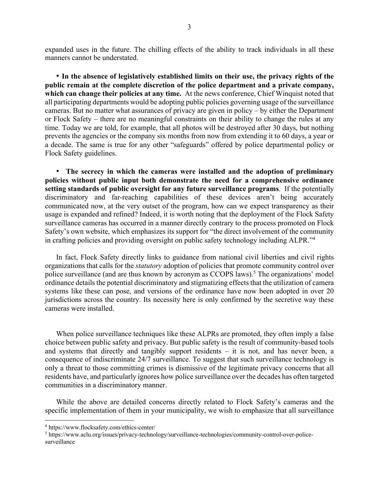expanded uses in the future. The chilling effects of the ability to track individuals in all these manners cannot be understated.

• **In the absence of legislatively established limits on their use, the privacy rights of the public remain at the complete discretion of the police department and a private company, which can change their policies at any time.** At the news conference, Chief Winquist noted that all participating departments would be adopting public policies governing usage of the surveillance cameras. But no matter what assurances of privacy are given in policy – by either the Department or Flock Safety – there are no meaningful constraints on their ability to change the rules at any time. Today we are told, for example, that all photos will be destroyed after 30 days, but nothing prevents the agencies or the company six months from now from extending it to 60 days, a year or a decade. The same is true for any other "safeguards" offered by police departmental policy or Flock Safety guidelines.

• **The secrecy in which the cameras were installed and the adoption of preliminary policies without public input both demonstrate the need for a comprehensive ordinance setting standards of public oversight for any future surveillance programs**. If the potentially discriminatory and far-reaching capabilities of these devices aren't being accurately communicated now, at the very outset of the program, how can we expect transparency as their usage is expanded and refined? Indeed, it is worth noting that the deployment of the Flock Safety surveillance cameras has occurred in a manner directly contrary to the process promoted on Flock Safety's own website, which emphasizes its support for "the direct involvement of the community in crafting policies and providing oversight on public safety technology including ALPR."4

In fact, Flock Safety directly links to guidance from national civil liberties and civil rights organizations that calls for the *statutory* adoption of policies that promote community control over police surveillance (and are thus known by acronym as CCOPS laws).<sup>5</sup> The organizations' model ordinance details the potential discriminatory and stigmatizing effects that the utilization of camera systems like these can pose, and versions of the ordinance have now been adopted in over 20 jurisdictions across the country. Its necessity here is only confirmed by the secretive way these cameras were installed.

When police surveillance techniques like these ALPRs are promoted, they often imply a false choice between public safety and privacy. But public safety is the result of community-based tools and systems that directly and tangibly support residents – it is not, and has never been, a consequence of indiscriminate 24/7 surveillance. To suggest that such surveillance technology is only a threat to those committing crimes is dismissive of the legitimate privacy concerns that all residents have, and particularly ignores how police surveillance over the decades has often targeted communities in a discriminatory manner.

While the above are detailed concerns directly related to Flock Safety's cameras and the specific implementation of them in your municipality, we wish to emphasize that all surveillance

<sup>4</sup> https://www.flocksafety.com/ethics-center/

<sup>5</sup> https://www.aclu.org/issues/privacy-technology/surveillance-technologies/community-control-over-policesurveillance